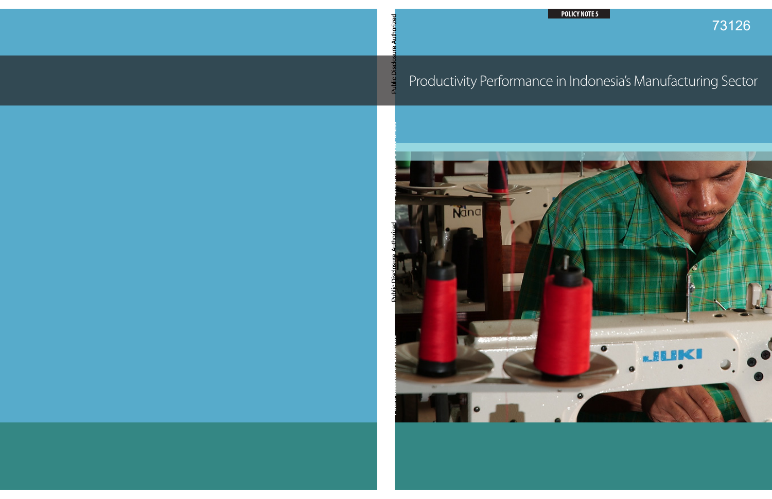**POLICY NOTE 5**

73126

# Productivity Performance in Indonesia's Manufacturing Sector

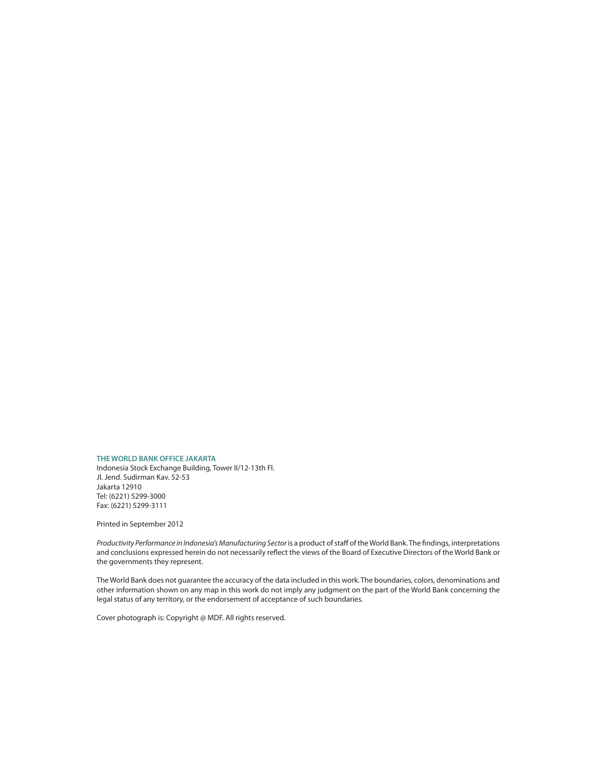#### **THE WORLD BANK OFFICE JAKARTA**

Indonesia Stock Exchange Building, Tower II/12-13th Fl. Jl. Jend. Sudirman Kav. 52-53 Jakarta 12910 Tel: (6221) 5299-3000 Fax: (6221) 5299-3111

Printed in September 2012

*Productivity Performance in Indonesia's Manufacturing Sector* is a product of staff of the World Bank. The findings, interpretations and conclusions expressed herein do not necessarily reflect the views of the Board of Executive Directors of the World Bank or the governments they represent.

The World Bank does not guarantee the accuracy of the data included in this work. The boundaries, colors, denominations and other information shown on any map in this work do not imply any judgment on the part of the World Bank concerning the legal status of any territory, or the endorsement of acceptance of such boundaries.

Cover photograph is: Copyright @ MDF. All rights reserved.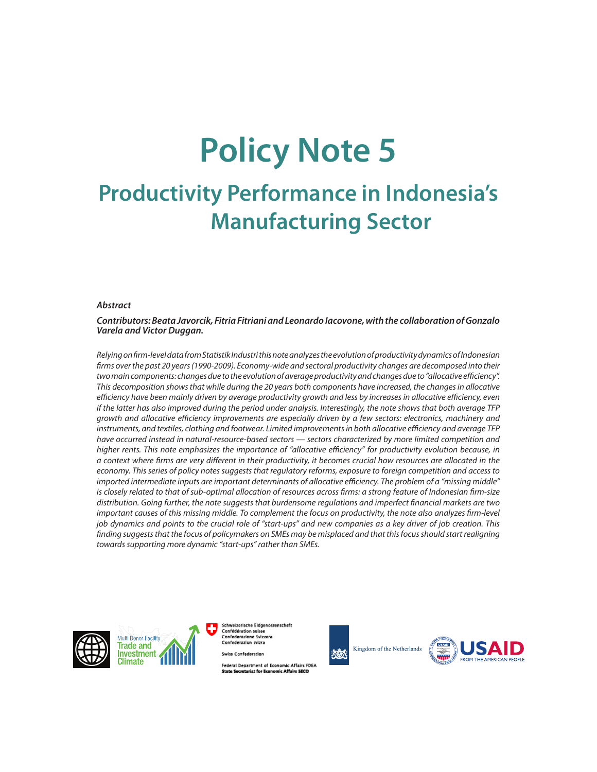# **Policy Note 5**

# **Productivity Performance in Indonesia's Manufacturing Sector**

# *Abstract*

*Contributors: Beata Javorcik, Fitria Fitriani and Leonardo Iacovone, with the collaboration of Gonzalo Varela and Victor Duggan.*

*Relying on firm-level data from Statistik Industri this note analyzes the evolution of productivity dynamics of Indonesian firms over the past 20 years (1990-2009). Economy-wide and sectoral productivity changes are decomposed into their two main components: changes due to the evolution of average productivity and changes due to "allocative efficiency". This decomposition shows that while during the 20 years both components have increased, the changes in allocative efficiency have been mainly driven by average productivity growth and less by increases in allocative efficiency, even if the latter has also improved during the period under analysis. Interestingly, the note shows that both average TFP growth and allocative efficiency improvements are especially driven by a few sectors: electronics, machinery and instruments, and textiles, clothing and footwear. Limited improvements in both allocative efficiency and average TFP have occurred instead in natural-resource-based sectors — sectors characterized by more limited competition and higher rents. This note emphasizes the importance of "allocative efficiency" for productivity evolution because, in a context where firms are very different in their productivity, it becomes crucial how resources are allocated in the economy. This series of policy notes suggests that regulatory reforms, exposure to foreign competition and access to imported intermediate inputs are important determinants of allocative efficiency. The problem of a "missing middle" is closely related to that of sub-optimal allocation of resources across firms: a strong feature of Indonesian firm-size distribution. Going further, the note suggests that burdensome regulations and imperfect financial markets are two important causes of this missing middle. To complement the focus on productivity, the note also analyzes firm-level job dynamics and points to the crucial role of "start-ups" and new companies as a key driver of job creation. This finding suggests that the focus of policymakers on SMEs may be misplaced and that this focus should start realigning towards supporting more dynamic "start-ups" rather than SMEs.* 





Schweizerische Eidgenossenschaft Confédération suisse Confederazione Svizzera Confederaziun svizra

Swiss Confederation

Federal Department of Economic Affairs FDEA<br>State Secretariat for Economic Affairs SECO



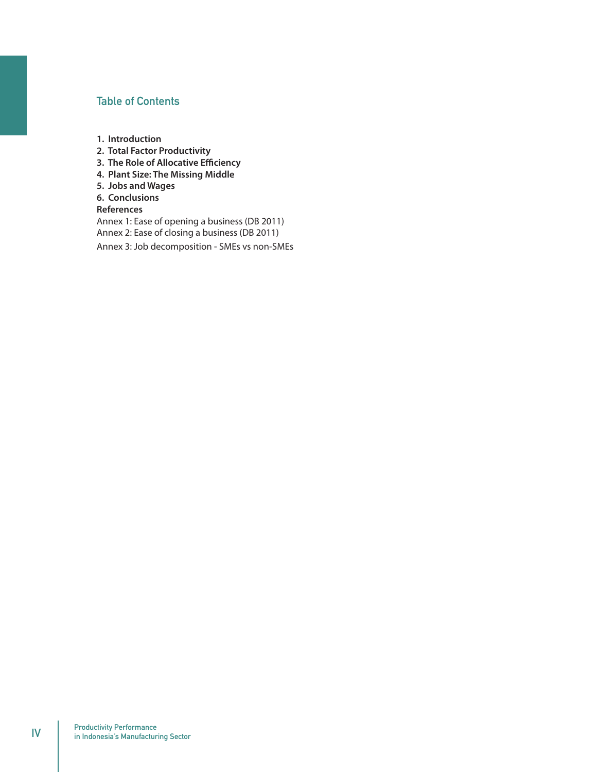# Table of Contents

**1. Introduction**

- **2. Total Factor Productivity**
- **3. The Role of Allocative Efficiency**
- **4. Plant Size: The Missing Middle**
- **5. Jobs and Wages**
- **6. Conclusions**

# **References**

Annex 1: Ease of opening a business (DB 2011)

- Annex 2: Ease of closing a business (DB 2011)
- Annex 3: Job decomposition SMEs vs non-SMEs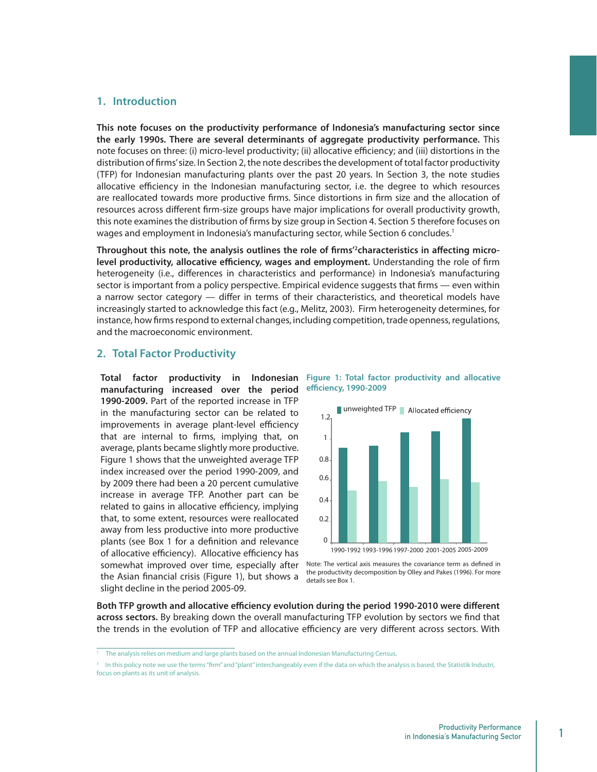# **1. Introduction**

**This note focuses on the productivity performance of Indonesia's manufacturing sector since the early 1990s. There are several determinants of aggregate productivity performance.** This note focuses on three: (i) micro-level productivity; (ii) allocative efficiency; and (iii) distortions in the distribution of firms' size. In Section 2, the note describes the development of total factor productivity (TFP) for Indonesian manufacturing plants over the past 20 years. In Section 3, the note studies allocative efficiency in the Indonesian manufacturing sector, i.e. the degree to which resources are reallocated towards more productive firms. Since distortions in firm size and the allocation of resources across different firm-size groups have major implications for overall productivity growth, this note examines the distribution of firms by size group in Section 4. Section 5 therefore focuses on wages and employment in Indonesia's manufacturing sector, while Section 6 concludes.<sup>1</sup>

**Throughout this note, the analysis outlines the role of firms'2 characteristics in affecting microlevel productivity, allocative efficiency, wages and employment.** Understanding the role of firm heterogeneity (i.e., differences in characteristics and performance) in Indonesia's manufacturing sector is important from a policy perspective. Empirical evidence suggests that firms — even within a narrow sector category — differ in terms of their characteristics, and theoretical models have increasingly started to acknowledge this fact (e.g., Melitz, 2003). Firm heterogeneity determines, for instance, how firms respond to external changes, including competition, trade openness, regulations, and the macroeconomic environment.

# **2. Total Factor Productivity**

**manufacturing increased over the period efficiency, 1990-2009 1990-2009.** Part of the reported increase in TFP in the manufacturing sector can be related to improvements in average plant-level efficiency that are internal to firms, implying that, on average, plants became slightly more productive. Figure 1 shows that the unweighted average TFP index increased over the period 1990-2009, and by 2009 there had been a 20 percent cumulative increase in average TFP. Another part can be related to gains in allocative efficiency, implying that, to some extent, resources were reallocated away from less productive into more productive plants (see Box 1 for a definition and relevance of allocative efficiency). Allocative efficiency has somewhat improved over time, especially after the Asian financial crisis (Figure 1), but shows a slight decline in the period 2005-09.





Note: The vertical axis measures the covariance term as defined in the productivity decomposition by Olley and Pakes (1996). For more details see Box 1.

**Both TFP growth and allocative efficiency evolution during the period 1990-2010 were different across sectors.** By breaking down the overall manufacturing TFP evolution by sectors we find that the trends in the evolution of TFP and allocative efficiency are very different across sectors. With

The analysis relies on medium and large plants based on the annual Indonesian Manufacturing Census.

<sup>2</sup> In this policy note we use the terms "firm" and "plant" interchangeably even if the data on which the analysis is based, the Statistik Industri, focus on plants as its unit of analysis.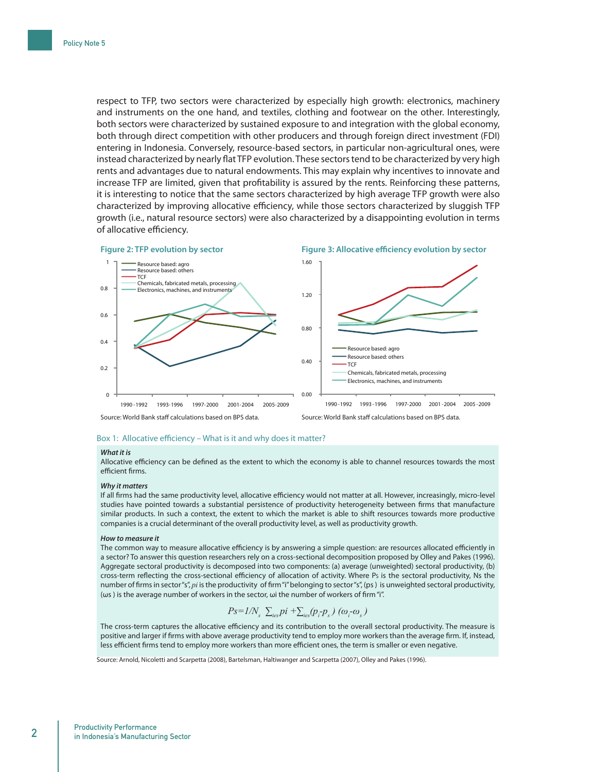respect to TFP, two sectors were characterized by especially high growth: electronics, machinery and instruments on the one hand, and textiles, clothing and footwear on the other. Interestingly, both sectors were characterized by sustained exposure to and integration with the global economy, both through direct competition with other producers and through foreign direct investment (FDI) entering in Indonesia. Conversely, resource-based sectors, in particular non-agricultural ones, were instead characterized by nearly flat TFP evolution. These sectors tend to be characterized by very high rents and advantages due to natural endowments. This may explain why incentives to innovate and increase TFP are limited, given that profitability is assured by the rents. Reinforcing these patterns, it is interesting to notice that the same sectors characterized by high average TFP growth were also characterized by improving allocative efficiency, while those sectors characterized by sluggish TFP growth (i.e., natural resource sectors) were also characterized by a disappointing evolution in terms of allocative efficiency.







Box 1: Allocative efficiency – What is it and why does it matter?

#### *What it is*

Allocative efficiency can be defined as the extent to which the economy is able to channel resources towards the most efficient firms.

#### *Why it matters*

If all firms had the same productivity level, allocative efficiency would not matter at all. However, increasingly, micro-level studies have pointed towards a substantial persistence of productivity heterogeneity between firms that manufacture similar products. In such a context, the extent to which the market is able to shift resources towards more productive companies is a crucial determinant of the overall productivity level, as well as productivity growth.

#### *How to measure it*

The common way to measure allocative efficiency is by answering a simple question: are resources allocated efficiently in a sector? To answer this question researchers rely on a cross-sectional decomposition proposed by Olley and Pakes (1996). Aggregate sectoral productivity is decomposed into two components: (a) average (unweighted) sectoral productivity, (b) cross-term reflecting the cross-sectional efficiency of allocation of activity. Where Ps is the sectoral productivity, Ns the number of firms in sector "s", *pi* is the productivity of firm "i" belonging to sector "s", (ps ) is unweighted sectoral productivity, (ωs ) is the average number of workers in the sector, ωi the number of workers of firm "i".

$$
Ps=1/N_s \sum_{ies} pi + \sum_{ies} (p_i-p_s) (\omega_i-\omega_s)
$$

The cross-term captures the allocative efficiency and its contribution to the overall sectoral productivity. The measure is positive and larger if firms with above average productivity tend to employ more workers than the average firm. If, instead, less efficient firms tend to employ more workers than more efficient ones, the term is smaller or even negative.

Source: Arnold, Nicoletti and Scarpetta (2008), Bartelsman, Haltiwanger and Scarpetta (2007), Olley and Pakes (1996).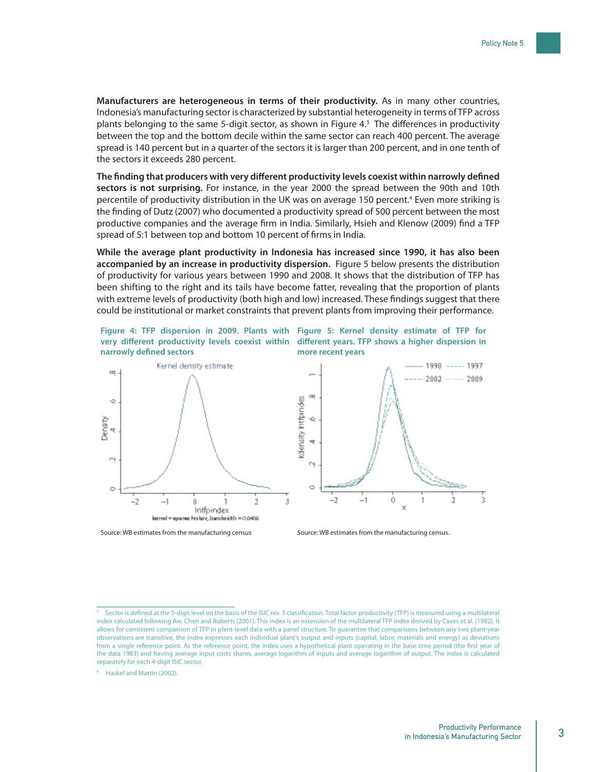**Manufacturers are heterogeneous in terms of their productivity.** As in many other countries, Indonesia's manufacturing sector is characterized by substantial heterogeneity in terms of TFP across plants belonging to the same 5-digit sector, as shown in Figure 4.<sup>3</sup> The differences in productivity between the top and the bottom decile within the same sector can reach 400 percent. The average spread is 140 percent but in a quarter of the sectors it is larger than 200 percent, and in one tenth of the sectors it exceeds 280 percent.

**The finding that producers with very different productivity levels coexist within narrowly defined sectors is not surprising.** For instance, in the year 2000 the spread between the 90th and 10th percentile of productivity distribution in the UK was on average 150 percent.<sup>4</sup> Even more striking is the finding of Dutz (2007) who documented a productivity spread of 500 percent between the most productive companies and the average firm in India. Similarly, Hsieh and Klenow (2009) find a TFP spread of 5:1 between top and bottom 10 percent of firms in India.

**While the average plant productivity in Indonesia has increased since 1990, it has also been accompanied by an increase in productivity dispersion.** Figure 5 below presents the distribution of productivity for various years between 1990 and 2008. It shows that the distribution of TFP has been shifting to the right and its tails have become fatter, revealing that the proportion of plants with extreme levels of productivity (both high and low) increased. These findings suggest that there could be institutional or market constraints that prevent plants from improving their performance.









Source: WB estimates from the manufacturing census Source: WB estimates from the manufacturing census.

<sup>3</sup> Sector is defined at the 5-digit level on the basis of the ISIC rev. 3 classification. Total factor productivity (TFP) is measured using a multilateral index calculated following Aw, Chen and Roberts (2001). This index is an extension of the multilateral TFP index derived by Caves et al. (1982). It allows for consistent comparison of TFP in plant-level data with a panel structure. To guarantee that comparisons between any two plant-year observations are transitive, the index expresses each individual plant's output and inputs (capital, labor, materials and energy) as deviations from a single reference point. As the reference point, the index uses a hypothetical plant operating in the base time period (the first year of the data 1983) and having average input costs shares, average logarithm of inputs and average logarithm of output. The index is calculated separately for each 4-digit ISIC sector.

<sup>4</sup> Haskel and Martin (2002).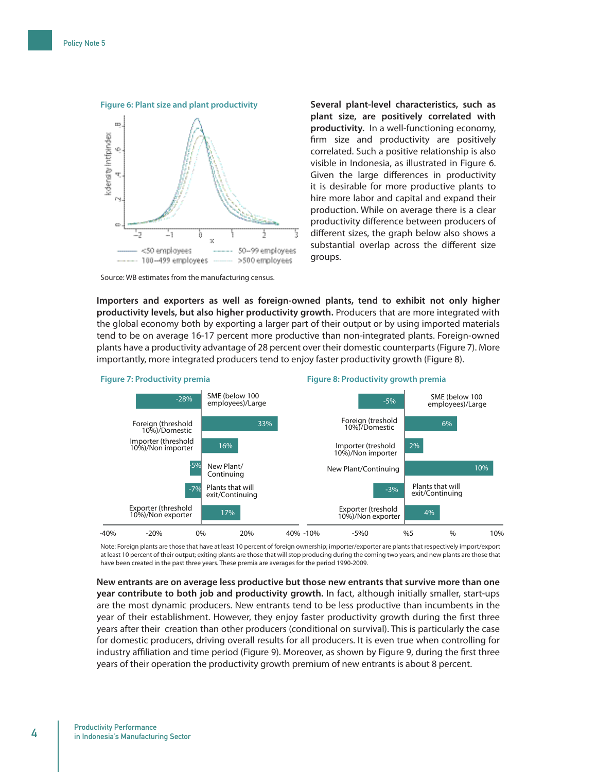

**plant size, are positively correlated with productivity.** In a well-functioning economy, firm size and productivity are positively correlated. Such a positive relationship is also visible in Indonesia, as illustrated in Figure 6. Given the large differences in productivity it is desirable for more productive plants to hire more labor and capital and expand their production. While on average there is a clear productivity difference between producers of different sizes, the graph below also shows a substantial overlap across the different size groups.

**Several plant-level characteristics, such as** 

Source: WB estimates from the manufacturing census.

**Importers and exporters as well as foreign-owned plants, tend to exhibit not only higher productivity levels, but also higher productivity growth.** Producers that are more integrated with the global economy both by exporting a larger part of their output or by using imported materials tend to be on average 16-17 percent more productive than non-integrated plants. Foreign-owned plants have a productivity advantage of 28 percent over their domestic counterparts (Figure 7). More importantly, more integrated producers tend to enjoy faster productivity growth (Figure 8).



Note: Foreign plants are those that have at least 10 percent of foreign ownership; importer/exporter are plants that respectively import/export at least 10 percent of their output; exiting plants are those that will stop producing during the coming two years; and new plants are those that have been created in the past three years. These premia are averages for the period 1990-2009.

**New entrants are on average less productive but those new entrants that survive more than one year contribute to both job and productivity growth.** In fact, although initially smaller, start-ups are the most dynamic producers. New entrants tend to be less productive than incumbents in the year of their establishment. However, they enjoy faster productivity growth during the first three years after their creation than other producers (conditional on survival). This is particularly the case for domestic producers, driving overall results for all producers. It is even true when controlling for industry affiliation and time period (Figure 9). Moreover, as shown by Figure 9, during the first three years of their operation the productivity growth premium of new entrants is about 8 percent.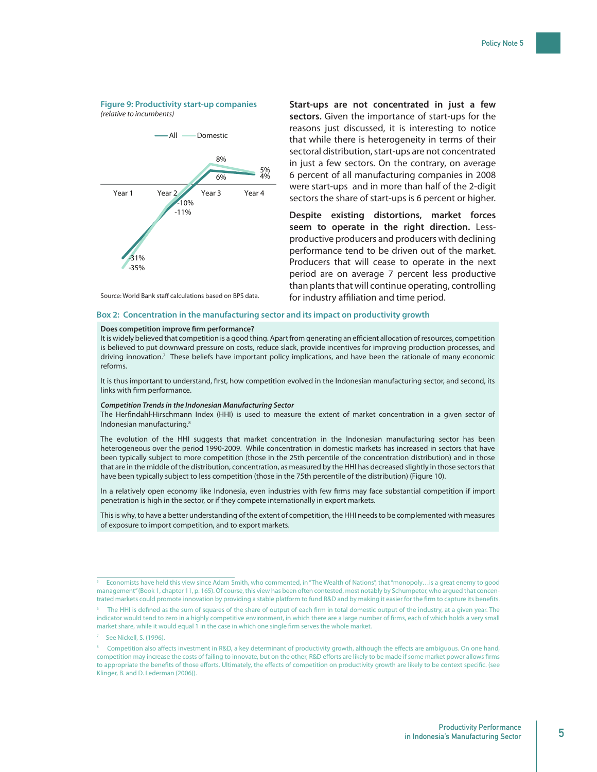#### **Figure 9: Productivity start-up companies** *(relative to incumbents)*



**Start-ups are not concentrated in just a few sectors.** Given the importance of start-ups for the reasons just discussed, it is interesting to notice that while there is heterogeneity in terms of their sectoral distribution, start-ups are not concentrated in just a few sectors. On the contrary, on average 6 percent of all manufacturing companies in 2008 were start-ups and in more than half of the 2-digit sectors the share of start-ups is 6 percent or higher.

**Despite existing distortions, market forces seem to operate in the right direction.** Lessproductive producers and producers with declining performance tend to be driven out of the market. Producers that will cease to operate in the next period are on average 7 percent less productive than plants that will continue operating, controlling for industry affiliation and time period.

Source: World Bank staff calculations based on BPS data.

# Box 2: Concentration in the manufacturing sector and its impact on productivity growth

#### **Does competition improve firm performance?**

It is widely believed that competition is a good thing. Apart from generating an efficient allocation of resources, competition is believed to put downward pressure on costs, reduce slack, provide incentives for improving production processes, and driving innovation.7 These beliefs have important policy implications, and have been the rationale of many economic reforms.

It is thus important to understand, first, how competition evolved in the Indonesian manufacturing sector, and second, its links with firm performance.

#### *Competition Trends in the Indonesian Manufacturing Sector*

The Herfindahl-Hirschmann Index (HHI) is used to measure the extent of market concentration in a given sector of Indonesian manufacturing.8

The evolution of the HHI suggests that market concentration in the Indonesian manufacturing sector has been heterogeneous over the period 1990-2009. While concentration in domestic markets has increased in sectors that have been typically subject to more competition (those in the 25th percentile of the concentration distribution) and in those that are in the middle of the distribution, concentration, as measured by the HHI has decreased slightly in those sectors that have been typically subject to less competition (those in the 75th percentile of the distribution) (Figure 10).

In a relatively open economy like Indonesia, even industries with few firms may face substantial competition if import penetration is high in the sector, or if they compete internationally in export markets.

This is why, to have a better understanding of the extent of competition, the HHI needs to be complemented with measures of exposure to import competition, and to export markets.

Economists have held this view since Adam Smith, who commented, in "The Wealth of Nations", that "monopoly…is a great enemy to good management" (Book 1, chapter 11, p. 165). Of course, this view has been often contested, most notably by Schumpeter, who argued that concentrated markets could promote innovation by providing a stable platform to fund R&D and by making it easier for the firm to capture its benefits.

<sup>6</sup> The HHI is defined as the sum of squares of the share of output of each firm in total domestic output of the industry, at a given year. The indicator would tend to zero in a highly competitive environment, in which there are a large number of firms, each of which holds a very small market share, while it would equal 1 in the case in which one single firm serves the whole market.

See Nickell, S. (1996).

<sup>8</sup> Competition also affects investment in R&D, a key determinant of productivity growth, although the effects are ambiguous. On one hand, competition may increase the costs of failing to innovate, but on the other, R&D efforts are likely to be made if some market power allows firms to appropriate the benefits of those efforts. Ultimately, the effects of competition on productivity growth are likely to be context specific. (see Klinger, B. and D. Lederman (2006)).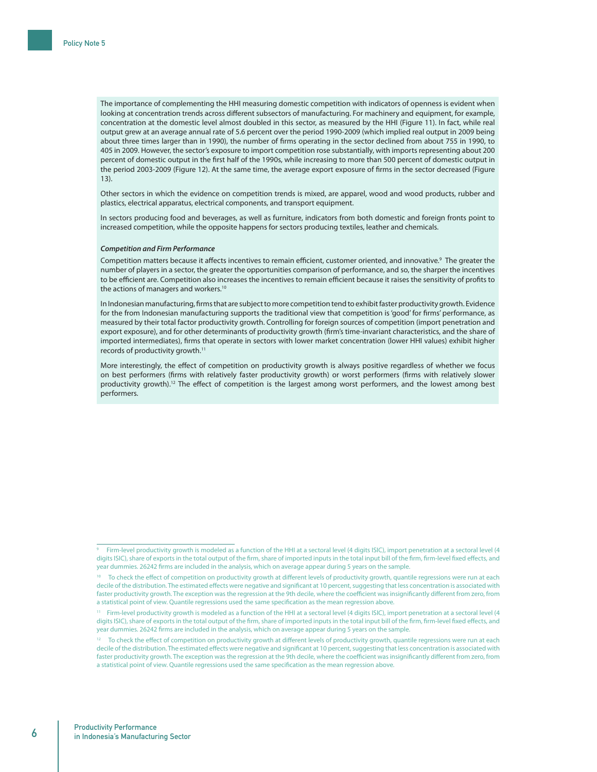The importance of complementing the HHI measuring domestic competition with indicators of openness is evident when looking at concentration trends across different subsectors of manufacturing. For machinery and equipment, for example, concentration at the domestic level almost doubled in this sector, as measured by the HHI (Figure 11). In fact, while real output grew at an average annual rate of 5.6 percent over the period 1990-2009 (which implied real output in 2009 being about three times larger than in 1990), the number of firms operating in the sector declined from about 755 in 1990, to 405 in 2009. However, the sector's exposure to import competition rose substantially, with imports representing about 200 percent of domestic output in the first half of the 1990s, while increasing to more than 500 percent of domestic output in the period 2003-2009 (Figure 12). At the same time, the average export exposure of firms in the sector decreased (Figure 13).

Other sectors in which the evidence on competition trends is mixed, are apparel, wood and wood products, rubber and plastics, electrical apparatus, electrical components, and transport equipment.

In sectors producing food and beverages, as well as furniture, indicators from both domestic and foreign fronts point to increased competition, while the opposite happens for sectors producing textiles, leather and chemicals.

#### *Competition and Firm Performance*

Competition matters because it affects incentives to remain efficient, customer oriented, and innovative.<sup>9</sup> The greater the number of players in a sector, the greater the opportunities comparison of performance, and so, the sharper the incentives to be efficient are. Competition also increases the incentives to remain efficient because it raises the sensitivity of profits to the actions of managers and workers.<sup>10</sup>

In Indonesian manufacturing, firms that are subject to more competition tend to exhibit faster productivity growth. Evidence for the from Indonesian manufacturing supports the traditional view that competition is 'good' for firms' performance, as measured by their total factor productivity growth. Controlling for foreign sources of competition (import penetration and export exposure), and for other determinants of productivity growth (firm's time-invariant characteristics, and the share of imported intermediates), firms that operate in sectors with lower market concentration (lower HHI values) exhibit higher records of productivity growth.11

More interestingly, the effect of competition on productivity growth is always positive regardless of whether we focus on best performers (firms with relatively faster productivity growth) or worst performers (firms with relatively slower productivity growth).12 The effect of competition is the largest among worst performers, and the lowest among best performers.

<sup>9</sup> Firm-level productivity growth is modeled as a function of the HHI at a sectoral level (4 digits ISIC), import penetration at a sectoral level (4 digits ISIC), share of exports in the total output of the firm, share of imported inputs in the total input bill of the firm, firm-level fixed effects, and year dummies. 26242 firms are included in the analysis, which on average appear during 5 years on the sample.

<sup>10</sup> To check the effect of competition on productivity growth at different levels of productivity growth, quantile regressions were run at each decile of the distribution. The estimated effects were negative and significant at 10 percent, suggesting that less concentration is associated with faster productivity growth. The exception was the regression at the 9th decile, where the coefficient was insignificantly different from zero, from a statistical point of view. Quantile regressions used the same specification as the mean regression above.

<sup>&</sup>lt;sup>11</sup> Firm-level productivity growth is modeled as a function of the HHI at a sectoral level (4 digits ISIC), import penetration at a sectoral level (4 digits ISIC), share of exports in the total output of the firm, share of imported inputs in the total input bill of the firm, firm-level fixed effects, and year dummies. 26242 firms are included in the analysis, which on average appear during 5 years on the sample.

<sup>&</sup>lt;sup>12</sup> To check the effect of competition on productivity growth at different levels of productivity growth, quantile regressions were run at each decile of the distribution. The estimated effects were negative and significant at 10 percent, suggesting that less concentration is associated with faster productivity growth. The exception was the regression at the 9th decile, where the coefficient was insignificantly different from zero, from a statistical point of view. Quantile regressions used the same specification as the mean regression above.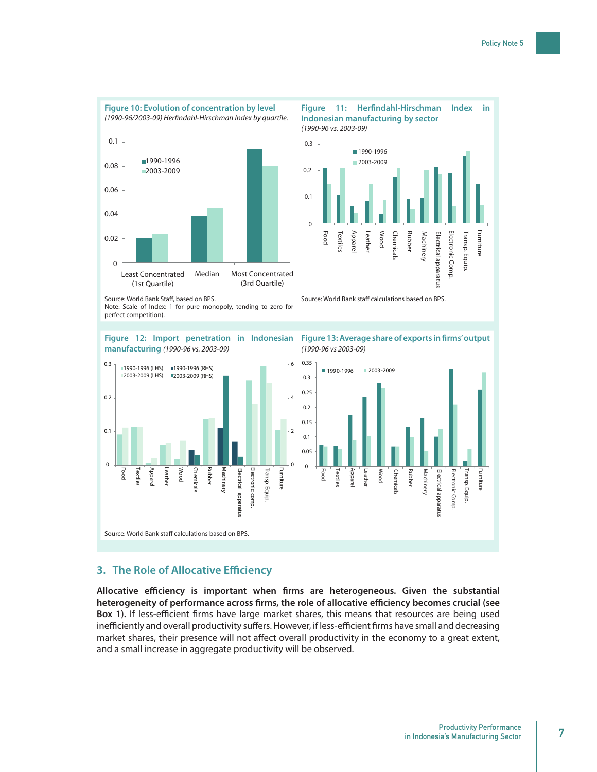

# **3. The Role of Allocative Efficiency**

**Allocative efficiency is important when firms are heterogeneous. Given the substantial heterogeneity of performance across firms, the role of allocative efficiency becomes crucial (see Box 1).** If less-efficient firms have large market shares, this means that resources are being used inefficiently and overall productivity suffers. However, if less-efficient firms have small and decreasing market shares, their presence will not affect overall productivity in the economy to a great extent, and a small increase in aggregate productivity will be observed.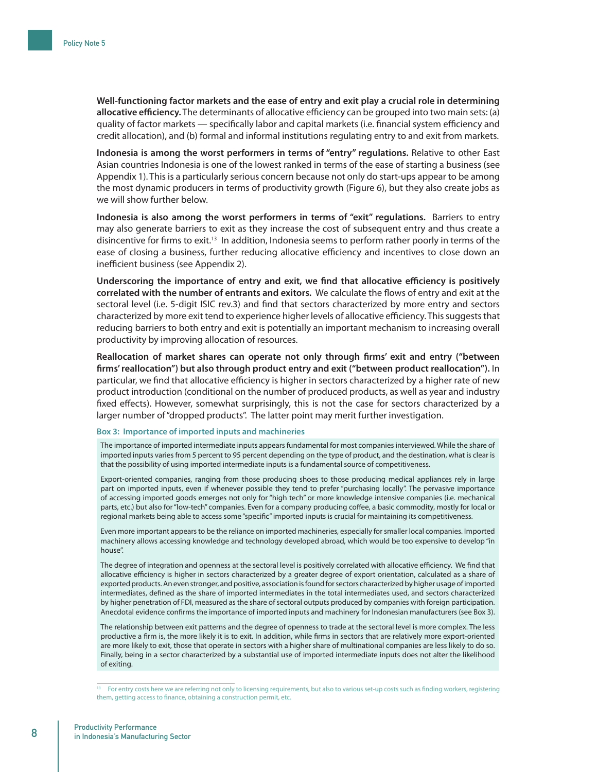**Well-functioning factor markets and the ease of entry and exit play a crucial role in determining allocative efficiency.** The determinants of allocative efficiency can be grouped into two main sets: (a) quality of factor markets — specifically labor and capital markets (i.e. financial system efficiency and credit allocation), and (b) formal and informal institutions regulating entry to and exit from markets.

**Indonesia is among the worst performers in terms of "entry" regulations.** Relative to other East Asian countries Indonesia is one of the lowest ranked in terms of the ease of starting a business (see Appendix 1). This is a particularly serious concern because not only do start-ups appear to be among the most dynamic producers in terms of productivity growth (Figure 6), but they also create jobs as we will show further below.

**Indonesia is also among the worst performers in terms of "exit" regulations.** Barriers to entry may also generate barriers to exit as they increase the cost of subsequent entry and thus create a disincentive for firms to exit.13 In addition, Indonesia seems to perform rather poorly in terms of the ease of closing a business, further reducing allocative efficiency and incentives to close down an inefficient business (see Appendix 2).

**Underscoring the importance of entry and exit, we find that allocative efficiency is positively correlated with the number of entrants and exitors.** We calculate the flows of entry and exit at the sectoral level (i.e. 5-digit ISIC rev.3) and find that sectors characterized by more entry and sectors characterized by more exit tend to experience higher levels of allocative efficiency. This suggests that reducing barriers to both entry and exit is potentially an important mechanism to increasing overall productivity by improving allocation of resources.

**Reallocation of market shares can operate not only through firms' exit and entry ("between firms' reallocation") but also through product entry and exit ("between product reallocation").** In particular, we find that allocative efficiency is higher in sectors characterized by a higher rate of new product introduction (conditional on the number of produced products, as well as year and industry fixed effects). However, somewhat surprisingly, this is not the case for sectors characterized by a larger number of "dropped products". The latter point may merit further investigation.

# **Box 3: Importance of imported inputs and machineries**

The importance of imported intermediate inputs appears fundamental for most companies interviewed. While the share of imported inputs varies from 5 percent to 95 percent depending on the type of product, and the destination, what is clear is that the possibility of using imported intermediate inputs is a fundamental source of competitiveness.

Export-oriented companies, ranging from those producing shoes to those producing medical appliances rely in large part on imported inputs, even if whenever possible they tend to prefer "purchasing locally". The pervasive importance of accessing imported goods emerges not only for "high tech" or more knowledge intensive companies (i.e. mechanical parts, etc.) but also for "low-tech" companies. Even for a company producing coffee, a basic commodity, mostly for local or regional markets being able to access some "specific" imported inputs is crucial for maintaining its competitiveness.

Even more important appears to be the reliance on imported machineries, especially for smaller local companies. Imported machinery allows accessing knowledge and technology developed abroad, which would be too expensive to develop "in house".

The degree of integration and openness at the sectoral level is positively correlated with allocative efficiency. We find that allocative efficiency is higher in sectors characterized by a greater degree of export orientation, calculated as a share of exported products. An even stronger, and positive, association is found for sectors characterized by higher usage of imported intermediates, defined as the share of imported intermediates in the total intermediates used, and sectors characterized by higher penetration of FDI, measured as the share of sectoral outputs produced by companies with foreign participation. Anecdotal evidence confirms the importance of imported inputs and machinery for Indonesian manufacturers (see Box 3).

The relationship between exit patterns and the degree of openness to trade at the sectoral level is more complex. The less productive a firm is, the more likely it is to exit. In addition, while firms in sectors that are relatively more export-oriented are more likely to exit, those that operate in sectors with a higher share of multinational companies are less likely to do so. Finally, being in a sector characterized by a substantial use of imported intermediate inputs does not alter the likelihood of exiting.

<sup>&</sup>lt;sup>13</sup> For entry costs here we are referring not only to licensing requirements, but also to various set-up costs such as finding workers, registering them, getting access to finance, obtaining a construction permit, etc.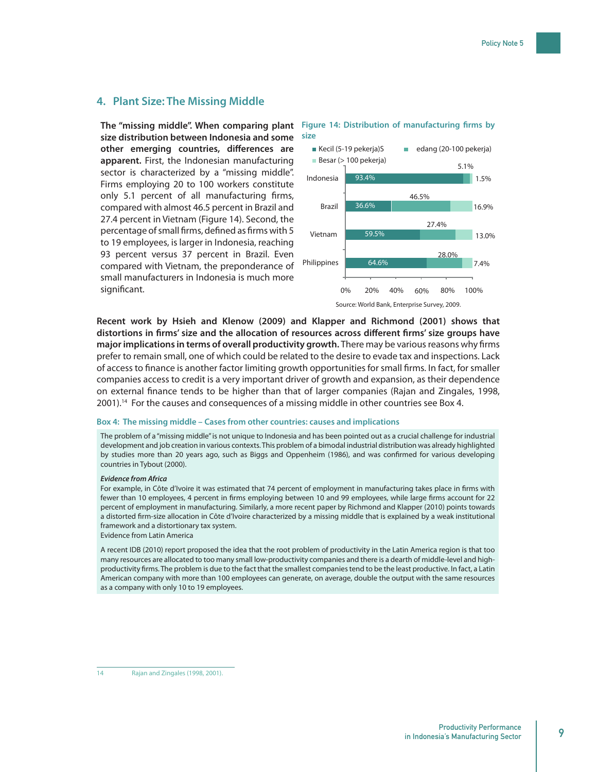# **4. Plant Size: The Missing Middle**

**The "missing middle". When comparing plant Figure 14: Distribution of manufacturing firms by size distribution between Indonesia and some other emerging countries, differences are apparent.** First, the Indonesian manufacturing sector is characterized by a "missing middle". Firms employing 20 to 100 workers constitute only 5.1 percent of all manufacturing firms, compared with almost 46.5 percent in Brazil and 27.4 percent in Vietnam (Figure 14). Second, the percentage of small firms, defined as firms with 5 to 19 employees, is larger in Indonesia, reaching 93 percent versus 37 percent in Brazil. Even compared with Vietnam, the preponderance of small manufacturers in Indonesia is much more significant.

# **size**



**Recent work by Hsieh and Klenow (2009) and Klapper and Richmond (2001) shows that distortions in firms' size and the allocation of resources across different firms' size groups have major implications in terms of overall productivity growth.** There may be various reasons why firms prefer to remain small, one of which could be related to the desire to evade tax and inspections. Lack of access to finance is another factor limiting growth opportunities for small firms. In fact, for smaller companies access to credit is a very important driver of growth and expansion, as their dependence on external finance tends to be higher than that of larger companies (Rajan and Zingales, 1998, 2001).14 For the causes and consequences of a missing middle in other countries see Box 4.

### **Box 4: The missing middle – Cases from other countries: causes and implications**

The problem of a "missing middle" is not unique to Indonesia and has been pointed out as a crucial challenge for industrial development and job creation in various contexts. This problem of a bimodal industrial distribution was already highlighted by studies more than 20 years ago, such as Biggs and Oppenheim (1986), and was confirmed for various developing countries in Tybout (2000).

## *Evidence from Africa*

For example, in Côte d'Ivoire it was estimated that 74 percent of employment in manufacturing takes place in firms with fewer than 10 employees, 4 percent in firms employing between 10 and 99 employees, while large firms account for 22 percent of employment in manufacturing. Similarly, a more recent paper by Richmond and Klapper (2010) points towards a distorted firm-size allocation in Côte d'Ivoire characterized by a missing middle that is explained by a weak institutional framework and a distortionary tax system. Evidence from Latin America

A recent IDB (2010) report proposed the idea that the root problem of productivity in the Latin America region is that too many resources are allocated to too many small low-productivity companies and there is a dearth of middle-level and highproductivity firms. The problem is due to the fact that the smallest companies tend to be the least productive. In fact, a Latin American company with more than 100 employees can generate, on average, double the output with the same resources as a company with only 10 to 19 employees.

14 Rajan and Zingales (1998, 2001).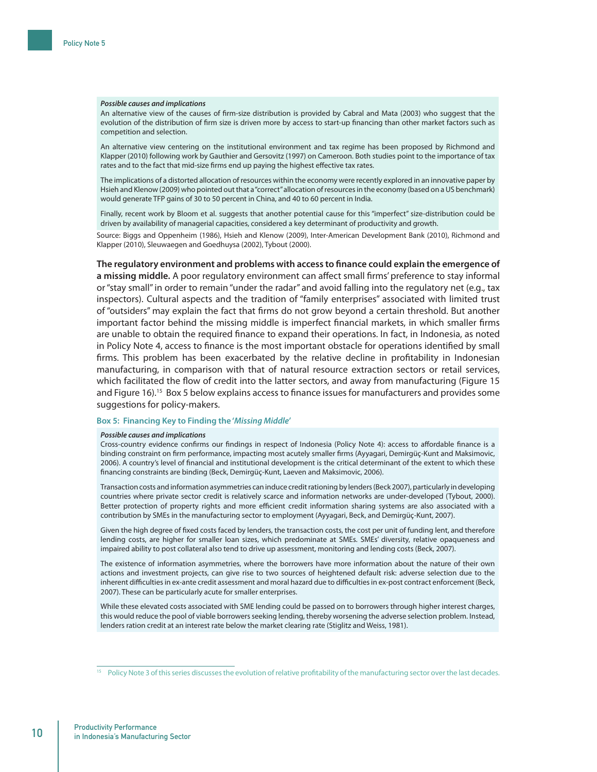#### *Possible causes and implications*

An alternative view of the causes of firm-size distribution is provided by Cabral and Mata (2003) who suggest that the evolution of the distribution of firm size is driven more by access to start-up financing than other market factors such as competition and selection.

An alternative view centering on the institutional environment and tax regime has been proposed by Richmond and Klapper (2010) following work by Gauthier and Gersovitz (1997) on Cameroon. Both studies point to the importance of tax rates and to the fact that mid-size firms end up paying the highest effective tax rates.

The implications of a distorted allocation of resources within the economy were recently explored in an innovative paper by Hsieh and Klenow (2009) who pointed out that a "correct" allocation of resources in the economy (based on a US benchmark) would generate TFP gains of 30 to 50 percent in China, and 40 to 60 percent in India.

Finally, recent work by Bloom et al. suggests that another potential cause for this "imperfect" size-distribution could be driven by availability of managerial capacities, considered a key determinant of productivity and growth.

Source: Biggs and Oppenheim (1986), Hsieh and Klenow (2009), Inter-American Development Bank (2010), Richmond and Klapper (2010), Sleuwaegen and Goedhuysa (2002), Tybout (2000).

# **The regulatory environment and problems with access to finance could explain the emergence of**

**a missing middle.** A poor regulatory environment can affect small firms' preference to stay informal or "stay small" in order to remain "under the radar" and avoid falling into the regulatory net (e.g., tax inspectors). Cultural aspects and the tradition of "family enterprises" associated with limited trust of "outsiders" may explain the fact that firms do not grow beyond a certain threshold. But another important factor behind the missing middle is imperfect financial markets, in which smaller firms are unable to obtain the required finance to expand their operations. In fact, in Indonesia, as noted in Policy Note 4, access to finance is the most important obstacle for operations identified by small firms. This problem has been exacerbated by the relative decline in profitability in Indonesian manufacturing, in comparison with that of natural resource extraction sectors or retail services, which facilitated the flow of credit into the latter sectors, and away from manufacturing (Figure 15 and Figure 16).<sup>15</sup> Box 5 below explains access to finance issues for manufacturers and provides some suggestions for policy-makers.

#### **Box 5: Financing Key to Finding the '***Missing Middle***'**

## *Possible causes and implications*

Cross-country evidence confirms our findings in respect of Indonesia (Policy Note 4): access to affordable finance is a binding constraint on firm performance, impacting most acutely smaller firms (Ayyagari, Demirgüç-Kunt and Maksimovic, 2006). A country's level of financial and institutional development is the critical determinant of the extent to which these financing constraints are binding (Beck, Demirgüç-Kunt, Laeven and Maksimovic, 2006).

Transaction costs and information asymmetries can induce credit rationing by lenders (Beck 2007), particularly in developing countries where private sector credit is relatively scarce and information networks are under-developed (Tybout, 2000). Better protection of property rights and more efficient credit information sharing systems are also associated with a contribution by SMEs in the manufacturing sector to employment (Ayyagari, Beck, and Demirgüç-Kunt, 2007).

Given the high degree of fixed costs faced by lenders, the transaction costs, the cost per unit of funding lent, and therefore lending costs, are higher for smaller loan sizes, which predominate at SMEs. SMEs' diversity, relative opaqueness and impaired ability to post collateral also tend to drive up assessment, monitoring and lending costs (Beck, 2007).

The existence of information asymmetries, where the borrowers have more information about the nature of their own actions and investment projects, can give rise to two sources of heightened default risk: adverse selection due to the inherent difficulties in ex-ante credit assessment and moral hazard due to difficulties in ex-post contract enforcement (Beck, 2007). These can be particularly acute for smaller enterprises.

While these elevated costs associated with SME lending could be passed on to borrowers through higher interest charges, this would reduce the pool of viable borrowers seeking lending, thereby worsening the adverse selection problem. Instead, lenders ration credit at an interest rate below the market clearing rate (Stiglitz and Weiss, 1981).

<sup>&</sup>lt;sup>15</sup> Policy Note 3 of this series discusses the evolution of relative profitability of the manufacturing sector over the last decades.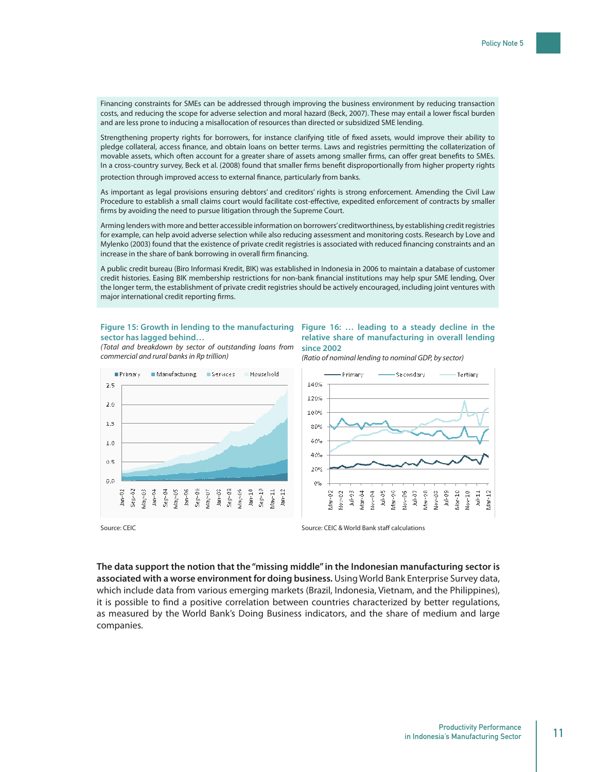Financing constraints for SMEs can be addressed through improving the business environment by reducing transaction costs, and reducing the scope for adverse selection and moral hazard (Beck, 2007). These may entail a lower fiscal burden and are less prone to inducing a misallocation of resources than directed or subsidized SME lending.

Strengthening property rights for borrowers, for instance clarifying title of fixed assets, would improve their ability to pledge collateral, access finance, and obtain loans on better terms. Laws and registries permitting the collaterization of movable assets, which often account for a greater share of assets among smaller firms, can offer great benefits to SMEs. In a cross-country survey, Beck et al. (2008) found that smaller firms benefit disproportionally from higher property rights protection through improved access to external finance, particularly from banks.

As important as legal provisions ensuring debtors' and creditors' rights is strong enforcement. Amending the Civil Law Procedure to establish a small claims court would facilitate cost-effective, expedited enforcement of contracts by smaller firms by avoiding the need to pursue litigation through the Supreme Court.

Arming lenders with more and better accessible information on borrowers' creditworthiness, by establishing credit registries for example, can help avoid adverse selection while also reducing assessment and monitoring costs. Research by Love and Mylenko (2003) found that the existence of private credit registries is associated with reduced financing constraints and an increase in the share of bank borrowing in overall firm financing.

A public credit bureau (Biro Informasi Kredit, BIK) was established in Indonesia in 2006 to maintain a database of customer credit histories. Easing BIK membership restrictions for non-bank financial institutions may help spur SME lending, Over the longer term, the establishment of private credit registries should be actively encouraged, including joint ventures with major international credit reporting firms.

# **Figure 15: Growth in lending to the manufacturing sector has lagged behind…**

*(Total and breakdown by sector of outstanding loans from commercial and rural banks in Rp trillion)*



**Figure 16: … leading to a steady decline in the relative share of manufacturing in overall lending since 2002**

*(Ratio of nominal lending to nominal GDP, by sector)*



Source: CEIC Source: CEIC & World Bank staff calculations

**The data support the notion that the "missing middle" in the Indonesian manufacturing sector is associated with a worse environment for doing business.** Using World Bank Enterprise Survey data, which include data from various emerging markets (Brazil, Indonesia, Vietnam, and the Philippines), it is possible to find a positive correlation between countries characterized by better regulations, as measured by the World Bank's Doing Business indicators, and the share of medium and large companies.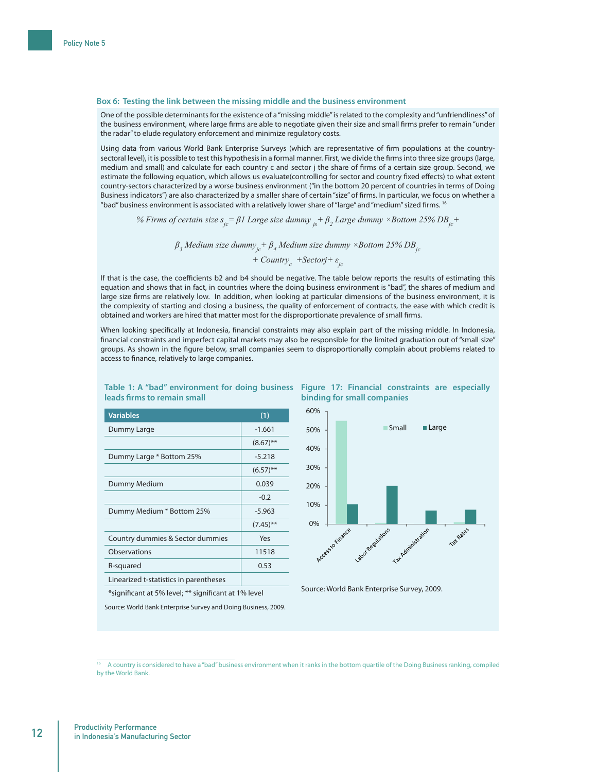## **Box 6: Testing the link between the missing middle and the business environment**

One of the possible determinants for the existence of a "missing middle" is related to the complexity and "unfriendliness" of the business environment, where large firms are able to negotiate given their size and small firms prefer to remain "under the radar" to elude regulatory enforcement and minimize regulatory costs.

Using data from various World Bank Enterprise Surveys (which are representative of firm populations at the countrysectoral level), it is possible to test this hypothesis in a formal manner. First, we divide the firms into three size groups (large, medium and small) and calculate for each country c and sector j the share of firms of a certain size group. Second, we estimate the following equation, which allows us evaluate(controlling for sector and country fixed effects) to what extent country-sectors characterized by a worse business environment ("in the bottom 20 percent of countries in terms of Doing Business indicators") are also characterized by a smaller share of certain "size" of firms. In particular, we focus on whether a "bad" business environment is associated with a relatively lower share of "large" and "medium" sized firms. 16

*% Firms of certain size sjc= β1 Large size dummy js+ β<sup>2</sup> Large dummy ×Bottom 25% DBjc +*

*β3 Medium size dummyjc+ β<sup>4</sup> Medium size dummy ×Bottom 25% DBjc*

*+ Country<sup>c</sup> +Sectorj+ εjc*

If that is the case, the coefficients b2 and b4 should be negative. The table below reports the results of estimating this equation and shows that in fact, in countries where the doing business environment is "bad", the shares of medium and large size firms are relatively low. In addition, when looking at particular dimensions of the business environment, it is the complexity of starting and closing a business, the quality of enforcement of contracts, the ease with which credit is obtained and workers are hired that matter most for the disproportionate prevalence of small firms.

When looking specifically at Indonesia, financial constraints may also explain part of the missing middle. In Indonesia, financial constraints and imperfect capital markets may also be responsible for the limited graduation out of "small size" groups. As shown in the figure below, small companies seem to disproportionally complain about problems related to access to finance, relatively to large companies.

| <b>Variables</b>                       | (1)         |
|----------------------------------------|-------------|
| Dummy Large                            | $-1.661$    |
|                                        | $(8.67)$ ** |
| Dummy Large * Bottom 25%               | $-5.218$    |
|                                        | $(6.57)$ ** |
| Dummy Medium                           | 0.039       |
|                                        | $-0.2$      |
| Dummy Medium * Bottom 25%              | $-5.963$    |
|                                        | $(7.45)$ ** |
| Country dummies & Sector dummies       | Yes         |
| Observations                           | 11518       |
| R-squared                              | 0.53        |
| Linearized t-statistics in parentheses |             |

### **Table 1: A "bad" environment for doing business Figure 17: Financial constraints are especially leads firms to remain small**

**binding for small companies**



Source: World Bank Enterprise Survey, 2009.

\*significant at 5% level; \*\* significant at 1% level

Source: World Bank Enterprise Survey and Doing Business, 2009.

16 A country is considered to have a "bad" business environment when it ranks in the bottom quartile of the Doing Business ranking, compiled by the World Bank.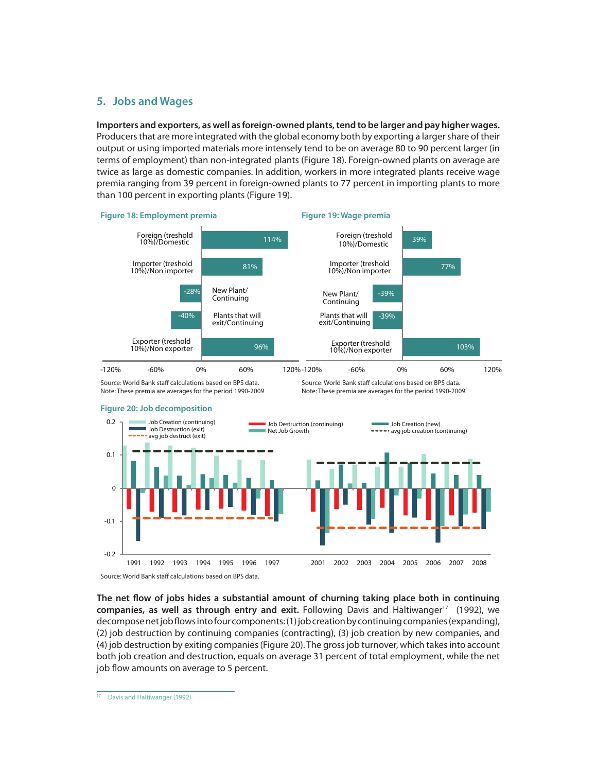# **5. Jobs and Wages**

**Importers and exporters, as well as foreign-owned plants, tend to be larger and pay higher wages.**  Producers that are more integrated with the global economy both by exporting a larger share of their output or using imported materials more intensely tend to be on average 80 to 90 percent larger (in terms of employment) than non-integrated plants (Figure 18). Foreign-owned plants on average are twice as large as domestic companies. In addition, workers in more integrated plants receive wage premia ranging from 39 percent in foreign-owned plants to 77 percent in importing plants to more than 100 percent in exporting plants (Figure 19).



# Note: These premia are averages for the period 1990-2009

Source: World Bank staff calculations based on BPS data. Note: These premia are averages for the period 1990-2009.



**The net flow of jobs hides a substantial amount of churning taking place both in continuing**  companies, as well as through entry and exit. Following Davis and Haltiwanger<sup>17</sup> (1992), we decompose net job flows into four components: (1) job creation by continuing companies (expanding), (2) job destruction by continuing companies (contracting), (3) job creation by new companies, and (4) job destruction by exiting companies (Figure 20). The gross job turnover, which takes into account both job creation and destruction, equals on average 31 percent of total employment, while the net job flow amounts on average to 5 percent.

<sup>17</sup> Davis and Haltiwanger (1992).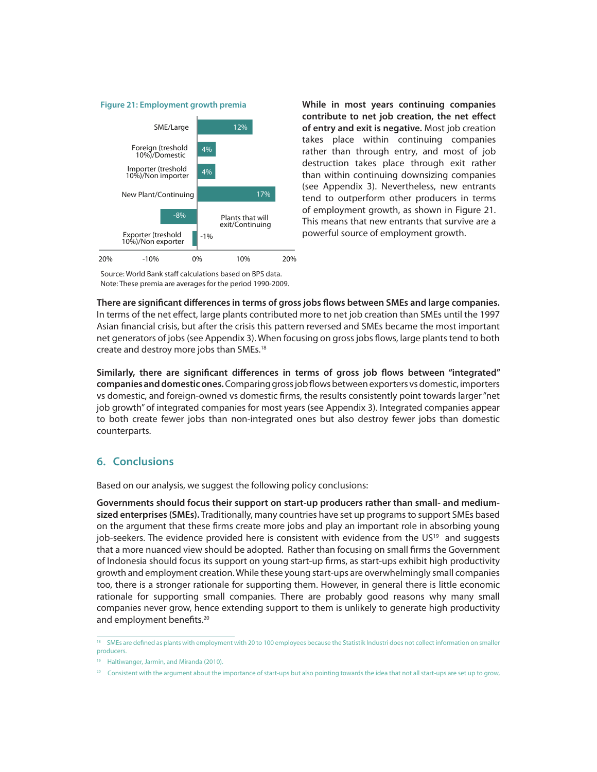



**While in most years continuing companies contribute to net job creation, the net effect of entry and exit is negative.** Most job creation takes place within continuing companies rather than through entry, and most of job destruction takes place through exit rather than within continuing downsizing companies (see Appendix 3). Nevertheless, new entrants tend to outperform other producers in terms of employment growth, as shown in Figure 21. This means that new entrants that survive are a powerful source of employment growth.

Source: World Bank staff calculations based on BPS data. Note: These premia are averages for the period 1990-2009.

**There are significant differences in terms of gross jobs flows between SMEs and large companies.** In terms of the net effect, large plants contributed more to net job creation than SMEs until the 1997 Asian financial crisis, but after the crisis this pattern reversed and SMEs became the most important net generators of jobs (see Appendix 3). When focusing on gross jobs flows, large plants tend to both create and destroy more jobs than SMEs.18

**Similarly, there are significant differences in terms of gross job flows between "integrated" companies and domestic ones.** Comparing gross job flows between exporters vs domestic, importers vs domestic, and foreign-owned vs domestic firms, the results consistently point towards larger "net job growth" of integrated companies for most years (see Appendix 3). Integrated companies appear to both create fewer jobs than non-integrated ones but also destroy fewer jobs than domestic counterparts.

# **6. Conclusions**

Based on our analysis, we suggest the following policy conclusions:

**Governments should focus their support on start-up producers rather than small- and mediumsized enterprises (SMEs).** Traditionally, many countries have set up programs to support SMEs based on the argument that these firms create more jobs and play an important role in absorbing young job-seekers. The evidence provided here is consistent with evidence from the  $US<sup>19</sup>$  and suggests that a more nuanced view should be adopted. Rather than focusing on small firms the Government of Indonesia should focus its support on young start-up firms, as start-ups exhibit high productivity growth and employment creation. While these young start-ups are overwhelmingly small companies too, there is a stronger rationale for supporting them. However, in general there is little economic rationale for supporting small companies. There are probably good reasons why many small companies never grow, hence extending support to them is unlikely to generate high productivity and employment benefits.<sup>20</sup>

<sup>&</sup>lt;sup>18</sup> SMEs are defined as plants with employment with 20 to 100 employees because the Statistik Industri does not collect information on smaller producers.

<sup>19</sup> Haltiwanger, Jarmin, and Miranda (2010).

<sup>&</sup>lt;sup>20</sup> Consistent with the argument about the importance of start-ups but also pointing towards the idea that not all start-ups are set up to grow,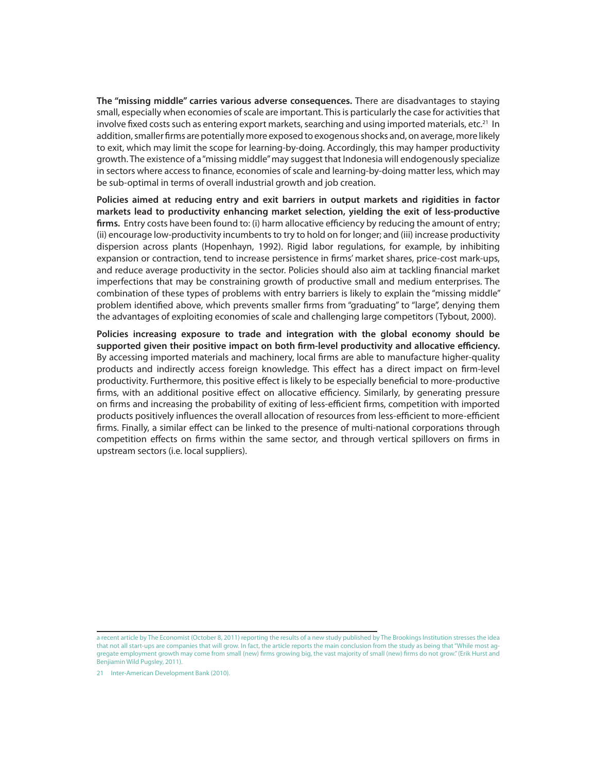**The "missing middle" carries various adverse consequences.** There are disadvantages to staying small, especially when economies of scale are important. This is particularly the case for activities that involve fixed costs such as entering export markets, searching and using imported materials, etc. $^{21}$  In addition, smaller firms are potentially more exposed to exogenous shocks and, on average, more likely to exit, which may limit the scope for learning-by-doing. Accordingly, this may hamper productivity growth. The existence of a "missing middle" may suggest that Indonesia will endogenously specialize in sectors where access to finance, economies of scale and learning-by-doing matter less, which may be sub-optimal in terms of overall industrial growth and job creation.

**Policies aimed at reducing entry and exit barriers in output markets and rigidities in factor markets lead to productivity enhancing market selection, yielding the exit of less-productive firms.** Entry costs have been found to: (i) harm allocative efficiency by reducing the amount of entry; (ii) encourage low-productivity incumbents to try to hold on for longer; and (iii) increase productivity dispersion across plants (Hopenhayn, 1992). Rigid labor regulations, for example, by inhibiting expansion or contraction, tend to increase persistence in firms' market shares, price-cost mark-ups, and reduce average productivity in the sector. Policies should also aim at tackling financial market imperfections that may be constraining growth of productive small and medium enterprises. The combination of these types of problems with entry barriers is likely to explain the "missing middle" problem identified above, which prevents smaller firms from "graduating" to "large", denying them the advantages of exploiting economies of scale and challenging large competitors (Tybout, 2000).

**Policies increasing exposure to trade and integration with the global economy should be supported given their positive impact on both firm-level productivity and allocative efficiency.** By accessing imported materials and machinery, local firms are able to manufacture higher-quality products and indirectly access foreign knowledge. This effect has a direct impact on firm-level productivity. Furthermore, this positive effect is likely to be especially beneficial to more-productive firms, with an additional positive effect on allocative efficiency. Similarly, by generating pressure on firms and increasing the probability of exiting of less-efficient firms, competition with imported products positively influences the overall allocation of resources from less-efficient to more-efficient firms. Finally, a similar effect can be linked to the presence of multi-national corporations through competition effects on firms within the same sector, and through vertical spillovers on firms in upstream sectors (i.e. local suppliers).

a recent article by The Economist (October 8, 2011) reporting the results of a new study published by The Brookings Institution stresses the idea that not all start-ups are companies that will grow. In fact, the article reports the main conclusion from the study as being that "While most aggregate employment growth may come from small (new) firms growing big, the vast majority of small (new) firms do not grow." (Erik Hurst and Benjiamin Wild Pugsley, 2011).

<sup>21</sup> Inter-American Development Bank (2010).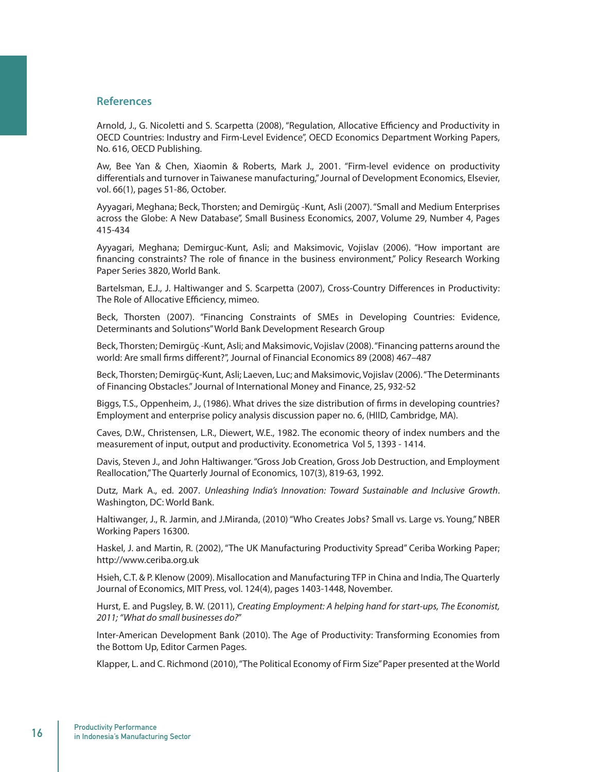# **References**

Arnold, J., G. Nicoletti and S. Scarpetta (2008), "Regulation, Allocative Efficiency and Productivity in OECD Countries: Industry and Firm-Level Evidence", OECD Economics Department Working Papers, No. 616, OECD Publishing.

Aw, Bee Yan & Chen, Xiaomin & Roberts, Mark J., 2001. "Firm-level evidence on productivity differentials and turnover in Taiwanese manufacturing," Journal of Development Economics, Elsevier, vol. 66(1), pages 51-86, October.

Ayyagari, Meghana; Beck, Thorsten; and Demirgüç -Kunt, Asli (2007). "Small and Medium Enterprises across the Globe: A New Database", Small Business Economics, 2007, Volume 29, Number 4, Pages 415-434

Ayyagari, Meghana; Demirguc-Kunt, Asli; and Maksimovic, Vojislav (2006). "How important are financing constraints? The role of finance in the business environment," Policy Research Working Paper Series 3820, World Bank.

Bartelsman, E.J., J. Haltiwanger and S. Scarpetta (2007), Cross-Country Differences in Productivity: The Role of Allocative Efficiency, mimeo.

Beck, Thorsten (2007). "Financing Constraints of SMEs in Developing Countries: Evidence, Determinants and Solutions" World Bank Development Research Group

Beck, Thorsten; Demirgüç -Kunt, Asli; and Maksimovic, Vojislav (2008). "Financing patterns around the world: Are small firms different?", Journal of Financial Economics 89 (2008) 467–487

Beck, Thorsten; Demirgüç-Kunt, Asli; Laeven, Luc; and Maksimovic, Vojislav (2006). "The Determinants of Financing Obstacles." Journal of International Money and Finance, 25, 932-52

Biggs, T.S., Oppenheim, J., (1986). What drives the size distribution of firms in developing countries? Employment and enterprise policy analysis discussion paper no. 6, (HIID, Cambridge, MA).

Caves, D.W., Christensen, L.R., Diewert, W.E., 1982. The economic theory of index numbers and the measurement of input, output and productivity. Econometrica Vol 5, 1393 - 1414.

Davis, Steven J., and John Haltiwanger. "Gross Job Creation, Gross Job Destruction, and Employment Reallocation," The Quarterly Journal of Economics, 107(3), 819-63, 1992.

Dutz, Mark A., ed. 2007. *Unleashing India's Innovation: Toward Sustainable and Inclusive Growth*. Washington, DC: World Bank.

Haltiwanger, J., R. Jarmin, and J.Miranda, (2010) "Who Creates Jobs? Small vs. Large vs. Young," NBER Working Papers 16300.

Haskel, J. and Martin, R. (2002), "The UK Manufacturing Productivity Spread" Ceriba Working Paper; http://www.ceriba.org.uk

Hsieh, C.T. & P. Klenow (2009). Misallocation and Manufacturing TFP in China and India, The Quarterly Journal of Economics, MIT Press, vol. 124(4), pages 1403-1448, November.

Hurst, E. and Pugsley, B. W. (2011), *Creating Employment: A helping hand for start-ups, The Economist, 2011; "What do small businesses do?*"

Inter-American Development Bank (2010). The Age of Productivity: Transforming Economies from the Bottom Up, Editor Carmen Pages.

Klapper, L. and C. Richmond (2010), "The Political Economy of Firm Size" Paper presented at the World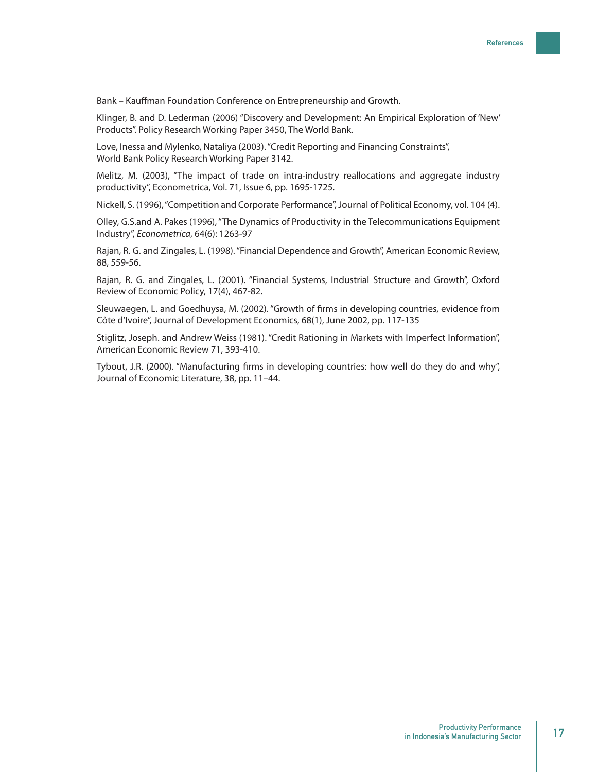Bank – Kauffman Foundation Conference on Entrepreneurship and Growth.

Klinger, B. and D. Lederman (2006) "Discovery and Development: An Empirical Exploration of 'New' Products". Policy Research Working Paper 3450, The World Bank.

Love, Inessa and Mylenko, Nataliya (2003). "Credit Reporting and Financing Constraints", World Bank Policy Research Working Paper 3142.

Melitz, M. (2003), "The impact of trade on intra-industry reallocations and aggregate industry productivity", Econometrica, Vol. 71, Issue 6, pp. 1695-1725.

Nickell, S. (1996), "Competition and Corporate Performance", Journal of Political Economy, vol. 104 (4).

Olley, G.S.and A. Pakes (1996), "The Dynamics of Productivity in the Telecommunications Equipment Industry", *Econometrica*, 64(6): 1263-97

Rajan, R. G. and Zingales, L. (1998). "Financial Dependence and Growth", American Economic Review, 88, 559-56.

Rajan, R. G. and Zingales, L. (2001). "Financial Systems, Industrial Structure and Growth", Oxford Review of Economic Policy, 17(4), 467-82.

Sleuwaegen, L. and Goedhuysa, M. (2002). "Growth of firms in developing countries, evidence from Côte d'Ivoire", Journal of Development Economics, 68(1), June 2002, pp. 117-135

Stiglitz, Joseph. and Andrew Weiss (1981). "Credit Rationing in Markets with Imperfect Information", American Economic Review 71, 393-410.

Tybout, J.R. (2000). "Manufacturing firms in developing countries: how well do they do and why", Journal of Economic Literature, 38, pp. 11–44.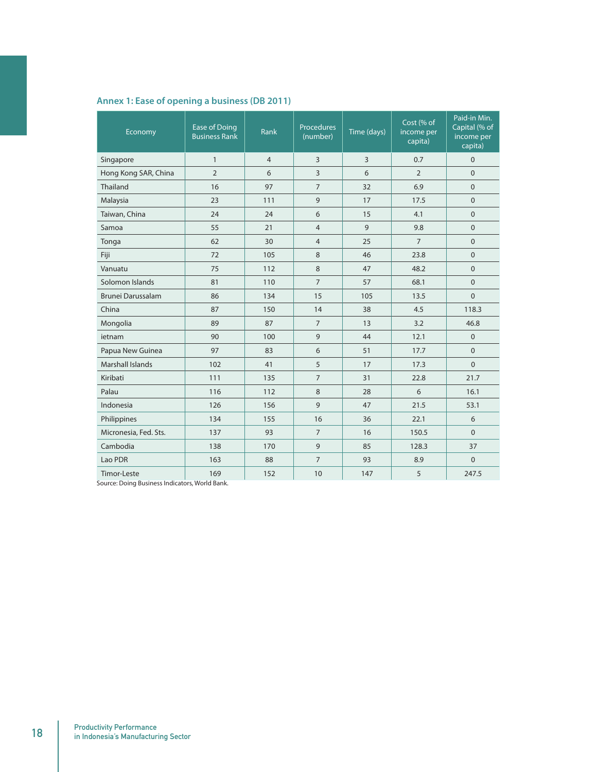| Economy                  | <b>Ease of Doing</b><br><b>Business Rank</b> | <b>Rank</b>    | <b>Procedures</b><br>(number) | Time (days) | Cost (% of<br>income per<br>capita) | Paid-in Min.<br>Capital (% of<br>income per<br>capita) |
|--------------------------|----------------------------------------------|----------------|-------------------------------|-------------|-------------------------------------|--------------------------------------------------------|
| Singapore                | $\mathbf{1}$                                 | $\overline{4}$ | 3                             | 3           | 0.7                                 | $\mathbf{0}$                                           |
| Hong Kong SAR, China     | $\overline{2}$                               | 6              | 3                             | 6           | $\overline{2}$                      | $\Omega$                                               |
| Thailand                 | 16                                           | 97             | $\overline{7}$                | 32          | 6.9                                 | $\mathbf{0}$                                           |
| Malaysia                 | 23                                           | 111            | 9                             | 17          | 17.5                                | $\mathbf{0}$                                           |
| Taiwan, China            | 24                                           | 24             | 6                             | 15          | 4.1                                 | $\mathbf{0}$                                           |
| Samoa                    | 55                                           | 21             | $\overline{4}$                | 9           | 9.8                                 | $\Omega$                                               |
| Tonga                    | 62                                           | 30             | $\overline{4}$                | 25          | $\overline{7}$                      | $\mathbf{0}$                                           |
| Fiji                     | 72                                           | 105            | 8                             | 46          | 23.8                                | $\mathbf{0}$                                           |
| Vanuatu                  | 75                                           | 112            | 8                             | 47          | 48.2                                | $\mathbf 0$                                            |
| Solomon Islands          | 81                                           | 110            | $\overline{7}$                | 57          | 68.1                                | $\mathbf{0}$                                           |
| <b>Brunei Darussalam</b> | 86                                           | 134            | 15                            | 105         | 13.5                                | $\Omega$                                               |
| China                    | 87                                           | 150            | 14                            | 38          | 4.5                                 | 118.3                                                  |
| Mongolia                 | 89                                           | 87             | $\overline{7}$                | 13          | 3.2                                 | 46.8                                                   |
| ietnam                   | 90                                           | 100            | 9                             | 44          | 12.1                                | $\mathbf{0}$                                           |
| Papua New Guinea         | 97                                           | 83             | 6                             | 51          | 17.7                                | $\Omega$                                               |
| Marshall Islands         | 102                                          | 41             | 5                             | 17          | 17.3                                | $\Omega$                                               |
| Kiribati                 | 111                                          | 135            | $\overline{7}$                | 31          | 22.8                                | 21.7                                                   |
| Palau                    | 116                                          | 112            | 8                             | 28          | 6                                   | 16.1                                                   |
| Indonesia                | 126                                          | 156            | 9                             | 47          | 21.5                                | 53.1                                                   |
| Philippines              | 134                                          | 155            | 16                            | 36          | 22.1                                | 6                                                      |
| Micronesia, Fed. Sts.    | 137                                          | 93             | $\overline{7}$                | 16          | 150.5                               | $\Omega$                                               |
| Cambodia                 | 138                                          | 170            | 9                             | 85          | 128.3                               | 37                                                     |
| Lao PDR                  | 163                                          | 88             | $\overline{7}$                | 93          | 8.9                                 | $\Omega$                                               |
| Timor-Leste              | 169                                          | 152            | 10                            | 147         | 5                                   | 247.5                                                  |

# **Annex 1: Ease of opening a business (DB 2011)**

Source: Doing Business Indicators, World Bank.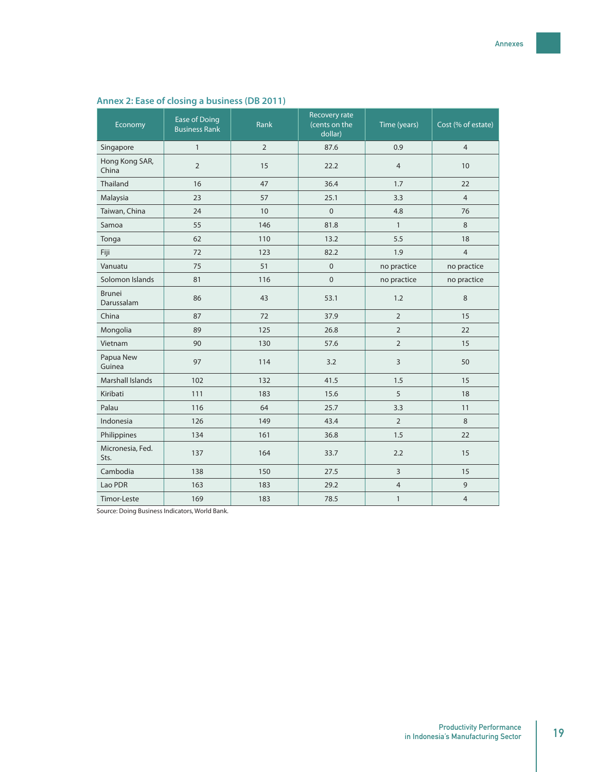| Economy                     | <b>Ease of Doing</b><br><b>Business Rank</b> | Rank           | <b>Recovery rate</b><br>(cents on the<br>dollar) | Time (years)   | Cost (% of estate) |  |  |
|-----------------------------|----------------------------------------------|----------------|--------------------------------------------------|----------------|--------------------|--|--|
| Singapore                   | $\mathbf{1}$                                 | $\overline{2}$ | 87.6                                             | 0.9            | $\overline{4}$     |  |  |
| Hong Kong SAR,<br>China     | $\overline{2}$                               | 15             | 22.2                                             | $\overline{4}$ | 10                 |  |  |
| Thailand                    | 16                                           | 47             | 36.4                                             | 1.7            | 22                 |  |  |
| Malaysia                    | 23                                           | 57             | 25.1                                             | 3.3            | $\overline{4}$     |  |  |
| Taiwan, China               | 24                                           | 10             | $\mathbf{0}$                                     | 4.8            | 76                 |  |  |
| Samoa                       | 55                                           | 146            | 81.8                                             | $\mathbf{1}$   | 8                  |  |  |
| Tonga                       | 62                                           | 110            | 13.2                                             | 5.5            | 18                 |  |  |
| Fiji                        | 72                                           | 123            | 82.2                                             | 1.9            | $\overline{4}$     |  |  |
| Vanuatu                     | 75                                           | 51             | $\mathbf{0}$                                     | no practice    | no practice        |  |  |
| Solomon Islands             | 81                                           | 116            | $\overline{0}$                                   | no practice    | no practice        |  |  |
| <b>Brunei</b><br>Darussalam | 86                                           | 43             | 53.1                                             | 1.2            | 8                  |  |  |
| China                       | 87                                           | 72             | 37.9                                             | $\overline{2}$ | 15                 |  |  |
| Mongolia                    | 89                                           | 125            | 26.8                                             | $\overline{2}$ | 22                 |  |  |
| Vietnam                     | 90                                           | 130            | 57.6                                             | $\overline{2}$ | 15                 |  |  |
| Papua New<br>Guinea         | 97                                           | 114            | 3.2                                              | 3              | 50                 |  |  |
| <b>Marshall Islands</b>     | 102                                          | 132            | 41.5                                             | 1.5            | 15                 |  |  |
| Kiribati                    | 111                                          | 183            | 15.6                                             | 5              | 18                 |  |  |
| Palau                       | 116                                          | 64             | 25.7                                             | 3.3            | 11                 |  |  |
| Indonesia                   | 126                                          | 149            | 43.4                                             | $\overline{2}$ | 8                  |  |  |
| Philippines                 | 134                                          | 161            | 36.8                                             | 1.5            | 22                 |  |  |
| Micronesia, Fed.<br>Sts.    | 137                                          | 164            | 33.7                                             | 2.2            | 15                 |  |  |
| Cambodia                    | 138                                          | 150            | 27.5                                             | 3              | 15                 |  |  |
| Lao PDR                     | 163                                          | 183            | 29.2                                             | $\overline{4}$ | 9                  |  |  |
| Timor-Leste                 | 169                                          | 183            | 78.5                                             | $\mathbf{1}$   | 4                  |  |  |

# **Annex 2: Ease of closing a business (DB 2011)**

Source: Doing Business Indicators, World Bank.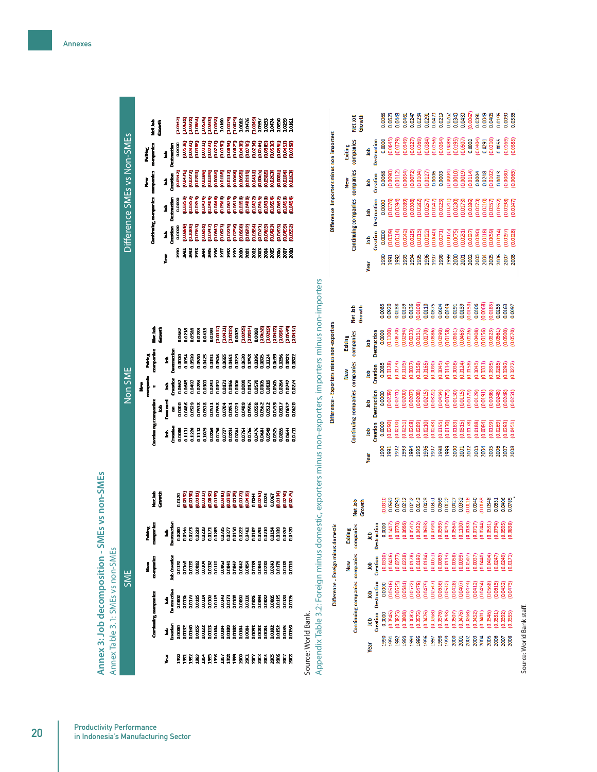CAAL

|   |                     |                      |                                                |   |   |                    | Von SMI |        |   |                                                                                                                |                      |        | Difference SMEs vs Non-SMEs |            |
|---|---------------------|----------------------|------------------------------------------------|---|---|--------------------|---------|--------|---|----------------------------------------------------------------------------------------------------------------|----------------------|--------|-----------------------------|------------|
|   |                     |                      |                                                |   |   |                    |         |        |   |                                                                                                                |                      |        |                             |            |
|   |                     | Continuing companies | i<br>I                                         | Í |   |                    | ij.     | i<br>I |   |                                                                                                                | Continuing companies | l<br>I | Esting<br>orientes          |            |
|   |                     |                      |                                                |   | Į | onthuming companie |         |        | Ĭ |                                                                                                                |                      |        |                             | da<br>Nati |
| Į |                     |                      |                                                |   |   |                    |         |        |   | þ                                                                                                              |                      |        |                             |            |
|   |                     |                      |                                                |   |   |                    |         |        |   |                                                                                                                |                      |        |                             |            |
|   |                     |                      |                                                |   |   |                    |         |        |   |                                                                                                                |                      |        |                             |            |
|   |                     |                      |                                                |   |   |                    |         |        |   |                                                                                                                |                      |        |                             |            |
|   |                     |                      |                                                |   |   |                    |         |        |   |                                                                                                                |                      |        |                             |            |
|   |                     |                      | te<br>La se se se se se se se se se se se se s |   |   |                    |         |        |   | Ë.                                                                                                             |                      |        |                             |            |
|   |                     |                      |                                                |   |   |                    |         |        |   | š                                                                                                              |                      |        |                             |            |
|   |                     |                      |                                                |   |   |                    |         |        |   | 88                                                                                                             |                      |        |                             |            |
|   |                     |                      |                                                |   |   |                    |         |        |   |                                                                                                                |                      |        |                             |            |
|   |                     |                      |                                                |   |   |                    |         |        |   | Ŝ                                                                                                              |                      |        |                             |            |
|   |                     |                      |                                                |   |   |                    |         |        |   | 的复数                                                                                                            |                      |        |                             |            |
|   |                     |                      |                                                |   |   |                    |         |        |   |                                                                                                                |                      |        |                             |            |
|   |                     |                      |                                                |   |   |                    |         |        |   |                                                                                                                |                      |        |                             |            |
|   |                     |                      |                                                |   |   |                    |         |        |   |                                                                                                                |                      |        |                             |            |
|   |                     |                      |                                                |   |   |                    |         |        |   |                                                                                                                |                      |        |                             |            |
|   |                     |                      |                                                |   |   |                    |         |        |   | ខ្ពុំ ខ្ពុំ ខ្ពុំ ខ្ពុំ ខ្ពុំ ខ្ពុំ ខ្ពុំ ខ្ពុំ ខ្ពុំ ខ្ពុំ ខ្ពុំ ខ្ពុំ ខ្ពុំ ខ្ពុំ ខ្ពុំ ខ្ពុំ ខ្ពុំ ខ្ពុំ ខ្ |                      |        |                             |            |
|   |                     |                      |                                                |   |   |                    |         |        |   |                                                                                                                |                      |        |                             |            |
|   |                     |                      |                                                |   |   |                    |         |        |   |                                                                                                                |                      |        |                             |            |
|   |                     |                      |                                                |   |   |                    |         |        |   |                                                                                                                |                      |        |                             |            |
|   |                     |                      |                                                |   |   |                    |         |        |   |                                                                                                                |                      |        |                             |            |
|   |                     |                      |                                                |   |   |                    |         |        |   |                                                                                                                |                      |        |                             |            |
|   |                     |                      |                                                |   |   |                    |         |        |   |                                                                                                                |                      |        |                             |            |
|   | source: World Bank. |                      |                                                |   |   |                    |         |        |   |                                                                                                                |                      |        |                             |            |

Appendix Table 3.2: Foreign minus domestic, exporters minus non-exporters, importers minus non-importers Appendix Table 3.2: Foreign minus domestic, exporters minus non-exporters, importers minus non-importers

|                                            | ž                              | ô                         |                    |                 |             |             |                      |             |          |                      |                                      |          |                      |                                                                                                                                                                                                                                                                                                                        |                      |              |                                                                                                                                         |              |          |          |        |                                                                                                                          |                                                                                                                                                                                                                                                                                             |
|--------------------------------------------|--------------------------------|---------------------------|--------------------|-----------------|-------------|-------------|----------------------|-------------|----------|----------------------|--------------------------------------|----------|----------------------|------------------------------------------------------------------------------------------------------------------------------------------------------------------------------------------------------------------------------------------------------------------------------------------------------------------------|----------------------|--------------|-----------------------------------------------------------------------------------------------------------------------------------------|--------------|----------|----------|--------|--------------------------------------------------------------------------------------------------------------------------|---------------------------------------------------------------------------------------------------------------------------------------------------------------------------------------------------------------------------------------------------------------------------------------------|
| Difference -Importers minus non-importers  | companies<br>Exiting           |                           | dol                | Destruction     |             | 0.0645      | 0.0379               | (60.000)    |          | (0.0227)<br>(0.0169) |                                      |          |                      |                                                                                                                                                                                                                                                                                                                        |                      |              |                                                                                                                                         |              |          |          |        |                                                                                                                          | $\begin{array}{r} 0.0234 \\ 0.0256 \\ 0.0256 \\ 0.0008 \\ 0.0008 \\ 0.0009 \\ 0.0009 \\ 0.0000 \\ 0.0000 \\ 0.0000 \\ 0.0004 \\ 0.0000 \\ 0.0000 \\ 0.0000 \\ 0.0000 \\ 0.0000 \\ 0.0000 \\ 0.0000 \\ 0.0000 \\ 0.0000 \\ 0.0000 \\ 0.0000 \\ 0.0000 \\ 0.0000 \\ 0.0000 \\ 0.0000 \\ 0.00$ |
|                                            | New                            |                           |                    | Job<br>Peation  | 0.0068      | 10.0090     | [0.0112]             | 0.0034      | (0.0072  | (0.0104              | (0.0127)                             | 0.0006   | 0.0003               |                                                                                                                                                                                                                                                                                                                        |                      |              | $\begin{array}{l} (0.0004) \\ (0.0010) \\ (0.0019) \\ (0.0114) \\ (0.0014) \\ (0.0014) \\ (0.0012) \\ (0.0012) \\ (0.0013) \end{array}$ |              |          |          |        |                                                                                                                          | (0.0080)<br>(0.0065)                                                                                                                                                                                                                                                                        |
|                                            | Continuing companies companies |                           | å                  | Destruction     |             | (0.0376     | 1980.0               | (0.0389     | 802010)  | (0.0282)             | (0.0257)                             |          |                      | $\begin{array}{l} (0.024) \\ (0.022) \\ (0.024) \\ (0.024) \\ (0.025) \\ (0.013) \\ (0.013) \\ (0.013) \\ (0.025) \\ (0.035) \\ (0.035) \\ (0.035) \\ (0.035) \\ (0.035) \\ (0.035) \\ (0.035) \\ (0.035) \\ (0.035) \\ (0.035) \\ (0.035) \\ (0.035) \\ (0.035) \\ (0.035) \\ (0.035) \\ (0.035) \\ (0.035) \\ (0.03$ |                      |              |                                                                                                                                         |              |          |          |        | 860000                                                                                                                   | (0.0147)                                                                                                                                                                                                                                                                                    |
|                                            |                                |                           | do                 | reation         | 0.000       | 606000      | (0.0214              | (0.0242)    | (0.0215  | (0.0113)             | (0.0122)                             | 0.0040   | (0.0271)             | (0.0065)                                                                                                                                                                                                                                                                                                               | (0.0075)             | (0.0231)     | 0.0137                                                                                                                                  | 0.0190       | (0.0118) | 0.0059   | 0.0114 | 0.0197                                                                                                                   | 0.0128                                                                                                                                                                                                                                                                                      |
|                                            |                                |                           | fear               |                 | 8           | 591<br>1991 | 1992                 | <b>98</b>   | 'nы      | <u>995</u>           | <b>SSG</b>                           | 99       | <b>1998</b>          | egi                                                                                                                                                                                                                                                                                                                    | 2000                 | 2001         | 2002                                                                                                                                    | 2003         | 2004     | 2005     | 2006   | 2007                                                                                                                     | 2008                                                                                                                                                                                                                                                                                        |
|                                            | Net Job                        | Growth                    |                    |                 | 0.0085      | 0.0920      | 0.0238               | 0.0139      | 0.0136   |                      | 0.0108<br>0.0110<br>0.0604<br>0.0249 |          |                      |                                                                                                                                                                                                                                                                                                                        |                      |              |                                                                                                                                         |              |          |          |        | $\begin{array}{r} 0.0291 \\ 0.0139 \\ 0.0139 \\ 0.0666 \\ 0.0066 \\ 0.0066 \\ 0.0185 \\ 0.0139 \\ 0.0165 \\ \end{array}$ | 0.0097                                                                                                                                                                                                                                                                                      |
| Difference - Exporters minus non-exporters | companies<br>Exiting           |                           | Job<br>Destruction |                 | 0.0000      | 0.1100      | (0.0370)<br>(0.0294) |             | (0.0223) | (0.0131)             |                                      |          |                      |                                                                                                                                                                                                                                                                                                                        |                      |              |                                                                                                                                         |              |          |          |        |                                                                                                                          |                                                                                                                                                                                                                                                                                             |
|                                            | <b>New</b>                     |                           | Job<br>Ireation    |                 | 0.0085      | (0.0128)    | (0.0174)             | (0.0105)    | (0.0027) | 0.0158               | (0.0165)                             |          |                      |                                                                                                                                                                                                                                                                                                                        |                      |              |                                                                                                                                         |              |          |          |        |                                                                                                                          | [0.0272]                                                                                                                                                                                                                                                                                    |
|                                            | Continuing companies companies |                           | do                 | Destruction     | 0.0000      | 0.0239      | 0.0241               | 0.0200      | 0.0207   | (0.0208              | (0.0215)                             | (0.0322) | (0.0454)<br>(0.0375) |                                                                                                                                                                                                                                                                                                                        |                      |              | (16150)<br>(62100)<br>(62100)<br>(62100)                                                                                                |              |          | (0.0086) | 0.0248 | 0.0248                                                                                                                   | (0.0251)                                                                                                                                                                                                                                                                                    |
|                                            |                                |                           | Job<br>Ireation    |                 | 0.0000      | 0.0290      | 0.0200               | 0.0251      | 0.0268   | 0.0289               | 0.0210                               | (0.0243) | (0.0195)<br>(0.0170) |                                                                                                                                                                                                                                                                                                                        | (0.0183)<br>(0.0815) |              | 0.0178                                                                                                                                  | 0.0188       | 0.0084   | 0.0199   | 0.0269 | 0.0293                                                                                                                   | 0.0451                                                                                                                                                                                                                                                                                      |
|                                            |                                |                           | <b>real</b>        |                 |             | <b>1991</b> | <b>SBI</b>           | 1993        | 1994     | <b>SBD</b>           | 996                                  | 1997     | 1998                 | 1999                                                                                                                                                                                                                                                                                                                   | 2000                 | <b>2001</b>  | 2002                                                                                                                                    | 2003         | 2004     | 2005     | 2006   | 2007                                                                                                                     | 2008                                                                                                                                                                                                                                                                                        |
|                                            |                                | Net Job<br>Growth         |                    |                 | 0.0810      | 0.0562      | 0.0293               | 0.0212      | 0.0252   | 0.0143               | 0.0423                               | 0.0831   | 0.0569               | 0.0122                                                                                                                                                                                                                                                                                                                 | 0.0427               | 0.0932       | 0.0118                                                                                                                                  | 0.0640       | 0.0163   | 0.0348   | 0.0631 | 0.0406                                                                                                                   | 0.0785                                                                                                                                                                                                                                                                                      |
|                                            | Exiting                        | companies                 | åq                 | Destruction     | 0.0000      | (0.1417     | (0.0770)             | (0.0666)    | (0.0542) | (0.0432)             | (0.0603)                             | (0.0704) | (0.0593)             | (0.0242)                                                                                                                                                                                                                                                                                                               | (0.0564)             |              | $\begin{smallmatrix} (0.1100) \ 0.0100 \ 0.0011 \end{smallmatrix}$<br>$\begin{smallmatrix} (0.071) \ 0.0244 \ 0.0531 \end{smallmatrix}$ |              |          |          |        | (0.0595)<br>(0.0838)                                                                                                     |                                                                                                                                                                                                                                                                                             |
|                                            | anies<br>New                   |                           |                    | Job<br>Creation |             |             |                      |             |          |                      |                                      |          |                      |                                                                                                                                                                                                                                                                                                                        |                      |              |                                                                                                                                         |              |          |          |        |                                                                                                                          |                                                                                                                                                                                                                                                                                             |
| Difference - Foreign minus domestic        |                                | Continuing companies comp |                    | Destruction     |             |             | (0.0516)<br>(0.0625) |             |          |                      |                                      |          |                      |                                                                                                                                                                                                                                                                                                                        |                      |              |                                                                                                                                         |              |          |          |        |                                                                                                                          |                                                                                                                                                                                                                                                                                             |
|                                            |                                |                           |                    | Job<br>Creation | 0.0000      | (0.0945     | (0.0825)             | (0.0808)    | (0.0685) | (0.0575)             |                                      |          |                      | (0.04716)<br>(0.05618)<br>(0.05618) (0.06716)<br>(0.06416) (0.06416) (0.06316)<br>(0.06316) (0.06316) (0.06355)                                                                                                                                                                                                        |                      |              |                                                                                                                                         |              |          |          |        |                                                                                                                          |                                                                                                                                                                                                                                                                                             |
|                                            |                                |                           | Year               |                 | <b>De61</b> | <b>1991</b> | 1992                 | <b>S661</b> | 1994     | 1995                 | 396                                  | 1997     | 88<br>199            |                                                                                                                                                                                                                                                                                                                        | 2000                 | 2001<br>2002 |                                                                                                                                         | 2003<br>2004 |          | 2005     | 2006   | 2007<br>2008                                                                                                             |                                                                                                                                                                                                                                                                                             |

Net Job<br>Growth

Source: World Bank staff. Source: World Bank staff.

CAAL